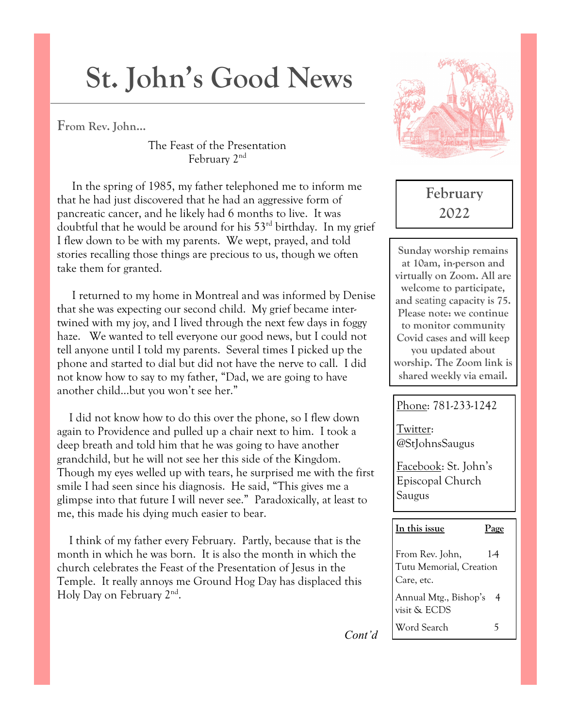# **St. John's Good News**

**From Rev. John…**

The Feast of the Presentation February 2nd

 In the spring of 1985, my father telephoned me to inform me that he had just discovered that he had an aggressive form of pancreatic cancer, and he likely had 6 months to live. It was doubtful that he would be around for his  $53<sup>rd</sup>$  birthday. In my grief I flew down to be with my parents. We wept, prayed, and told stories recalling those things are precious to us, though we often take them for granted.

 I returned to my home in Montreal and was informed by Denise that she was expecting our second child. My grief became intertwined with my joy, and I lived through the next few days in foggy haze. We wanted to tell everyone our good news, but I could not tell anyone until I told my parents. Several times I picked up the phone and started to dial but did not have the nerve to call. I did not know how to say to my father, "Dad, we are going to have another child…but you won't see her."

 I did not know how to do this over the phone, so I flew down again to Providence and pulled up a chair next to him. I took a deep breath and told him that he was going to have another grandchild, but he will not see her this side of the Kingdom. Though my eyes welled up with tears, he surprised me with the first smile I had seen since his diagnosis. He said, "This gives me a glimpse into that future I will never see." Paradoxically, at least to me, this made his dying much easier to bear.

 I think of my father every February. Partly, because that is the month in which he was born. It is also the month in which the church celebrates the Feast of the Presentation of Jesus in the Temple. It really annoys me Ground Hog Day has displaced this Holy Day on February 2<sup>nd</sup>.



# **February 2022**

**Sunday worship remains at 10am, in-person and virtually on Zoom. All are welcome to participate, and** seating **capacity is 75. Please note: we continue to monitor community Covid cases and will keep you updated about worship. The Zoom link is shared weekly via email.** 

## Phone: 781-233-1242

Twitter: @StJohnsSaugus

Facebook: St. John's Episcopal Church Saugus

## **In this issue Page**

From Rev. John, 14 Tutu Memorial, Creation Care, etc. Annual Mtg., Bishop's 4 visit & ECDS Word Search 5

*Cont'd*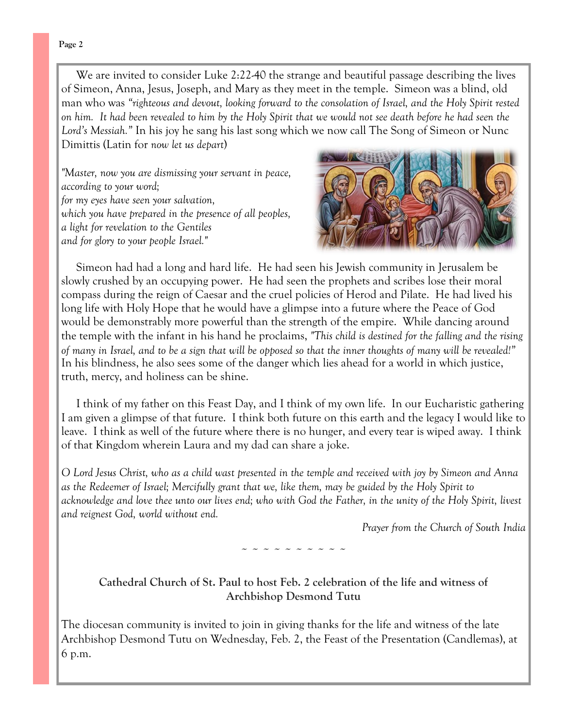We are invited to consider Luke 2:22-40 the strange and beautiful passage describing the lives of Simeon, Anna, Jesus, Joseph, and Mary as they meet in the temple. Simeon was a blind, old man who was *"righteous and devout, looking forward to the consolation of Israel, and the Holy Spirit rested on him. It had been revealed to him by the Holy Spirit that we would not see death before he had seen the Lord's Messiah."* In his joy he sang his last song which we now call The Song of Simeon or Nunc Dimittis (Latin for *now let us depart*)

*"Master, now you are dismissing your servant in peace, according to your word; for my eyes have seen your salvation, which you have prepared in the presence of all peoples, a light for revelation to the Gentiles and for glory to your people Israel."*



 Simeon had had a long and hard life. He had seen his Jewish community in Jerusalem be slowly crushed by an occupying power. He had seen the prophets and scribes lose their moral compass during the reign of Caesar and the cruel policies of Herod and Pilate. He had lived his long life with Holy Hope that he would have a glimpse into a future where the Peace of God would be demonstrably more powerful than the strength of the empire. While dancing around the temple with the infant in his hand he proclaims, *"This child is destined for the falling and the rising of many in Israel, and to be a sign that will be opposed so that the inner thoughts of many will be revealed!"*  In his blindness, he also sees some of the danger which lies ahead for a world in which justice, truth, mercy, and holiness can be shine.

 I think of my father on this Feast Day, and I think of my own life. In our Eucharistic gathering I am given a glimpse of that future. I think both future on this earth and the legacy I would like to leave. I think as well of the future where there is no hunger, and every tear is wiped away. I think of that Kingdom wherein Laura and my dad can share a joke.

*O Lord Jesus Christ, who as a child wast presented in the temple and received with joy by Simeon and Anna as the Redeemer of Israel; Mercifully grant that we, like them, may be guided by the Holy Spirit to acknowledge and love thee unto our lives end; who with God the Father, in the unity of the Holy Spirit, livest and reignest God, world without end.* 

*Prayer from the Church of South India*

~ ~ ~ ~ ~ ~ ~ ~ ~ ~

## **Cathedral Church of St. Paul to host Feb. 2 celebration of the life and witness of Archbishop Desmond Tutu**

The diocesan community is invited to join in giving thanks for the life and witness of the late Archbishop Desmond Tutu on Wednesday, Feb. 2, the Feast of the Presentation (Candlemas), at 6 p.m.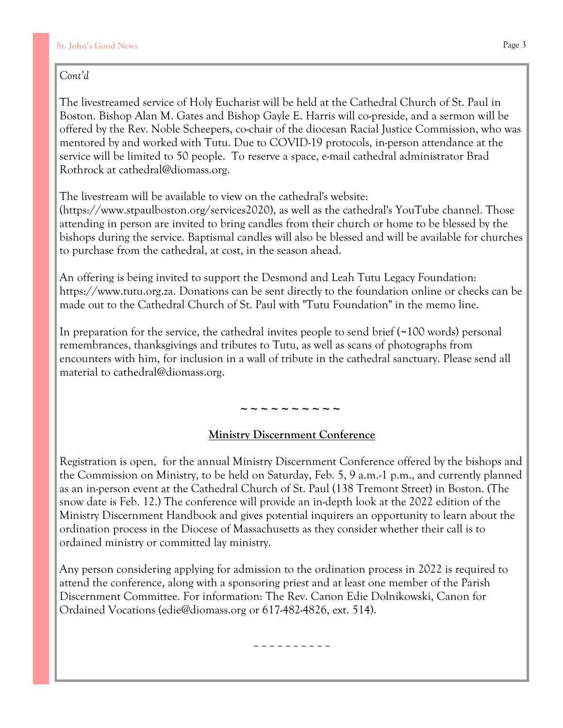## *Cont'd*

The livestreamed service of Holy Eucharist will be held at the Cathedral Church of St. Paul in Boston. Bishop Alan M. Gates and Bishop Gayle E. Harris will co-preside, and a sermon will be offered by the Rev. Noble Scheepers, co-chair of the diocesan Racial Justice Commission, who was mentored by and worked with Tutu. Due to COVID-19 protocols, in-person attendance at the service will be limited to 50 people. To reserve a space, e-mail cathedral administrator Brad Rothrock at [cathedral@diomass.org.](mailto:cathedral@diomass.org)

The livestream will be available to view on the cathedral's website:

[\(https://www.stpaulboston.org/services2020\)](https://www.stpaulboston.org/services2020), as well as the cathedral's [YouTube channel.](https://www.youtube.com/channel/UCMmyBqxnq1nJhCIM-_KXZHw) Those attending in person are invited to bring candles from their church or home to be blessed by the bishops during the service. Baptismal candles will also be blessed and will be available for churches to purchase from the cathedral, at cost, in the season ahead.

An offering is being invited to support the Desmond and Leah Tutu Legacy Foundation: [https://www.tutu.org.za.](https://www.tutu.org.za/) Donations can be sent directly to the foundation online or checks can be made out to the Cathedral Church of St. Paul with "Tutu Foundation" in the memo line.

In preparation for the service, the cathedral invites people to send brief (~100 words) personal remembrances, thanksgivings and tributes to Tutu, as well as scans of photographs from encounters with him, for inclusion in a wall of tribute in the cathedral sanctuary. Please send all material to [cathedral@diomass.org.](mailto:cathedral@diomass.org)

# $\sim$  ~ ~ ~ ~ ~ ~ ~

## **Ministry Discernment Conference**

Registration is open, for the annual Ministry Discernment Conference offered by the bishops and the Commission on Ministry, to be held on Saturday, Feb. 5, 9 a.m.-1 p.m., and currently planned as an in-person event at the Cathedral Church of St. Paul (138 Tremont Street) in Boston. (The snow date is Feb. 12.) The conference will provide an in-depth look at the 2022 edition of the Ministry Discernment Handbook and gives potential inquirers an opportunity to learn about the ordination process in the Diocese of Massachusetts as they consider whether their call is to ordained ministry or committed lay ministry.

Any person considering applying for admission to the ordination process in 2022 is required to attend the conference, along with a sponsoring priest and at least one member of the Parish Discernment Committee. For information: The Rev. Canon Edie Dolnikowski, Canon for Ordained Vocations (edie@diomass.org or 617-482-4826, ext. 514).

~~~~~~~~~~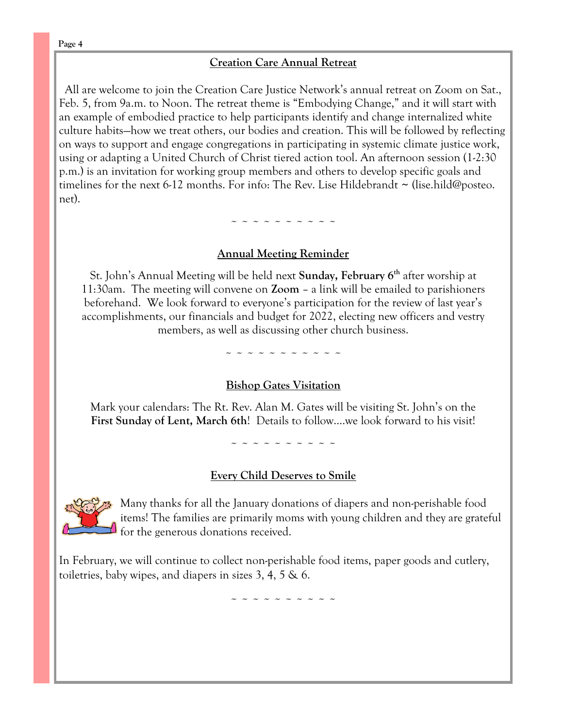## **Creation Care Annual Retreat**

All are welcome to join the Creation Care Justice Network's annual retreat on Zoom on Sat., Feb. 5, from 9a.m. to Noon. The retreat theme is "Embodying Change," and it will start with an example of embodied practice to help participants identify and change internalized white culture habits—how we treat others, our bodies and creation. This will be followed by reflecting on ways to support and engage congregations in participating in systemic climate justice work, using or adapting a United Church of Christ tiered action tool. An afternoon session (1-2:30 p.m.) is an invitation for working group members and others to develop specific goals and timelines for the next 6-12 months. For info: The Rev. Lise Hildebrandt  $\sim$  (lise.hild@posteo. net).

~ ~ ~ ~ ~ ~ ~ ~ ~ ~

## **Annual Meeting Reminder**

St. John's Annual Meeting will be held next **Sunday, February 6th** after worship at 11:30am. The meeting will convene on **Zoom** – a link will be emailed to parishioners beforehand. We look forward to everyone's participation for the review of last year's accomplishments, our financials and budget for 2022, electing new officers and vestry members, as well as discussing other church business.

~ ~ ~ ~ ~ ~ ~ ~ ~ ~ ~

#### **Bishop Gates Visitation**

Mark your calendars: The Rt. Rev. Alan M. Gates will be visiting St. John's on the **First Sunday of Lent, March 6th**! Details to follow….we look forward to his visit!

~ ~ ~ ~ ~ ~ ~ ~ ~ ~

#### **Every Child Deserves to Smile**



Many thanks for all the January donations of diapers and non-perishable food items! The families are primarily moms with young children and they are grateful for the generous donations received.

In February, we will continue to collect non-perishable food items, paper goods and cutlery, toiletries, baby wipes, and diapers in sizes 3, 4, 5  $\&$  6.

~ ~ ~ ~ ~ ~ ~ ~ ~ ~